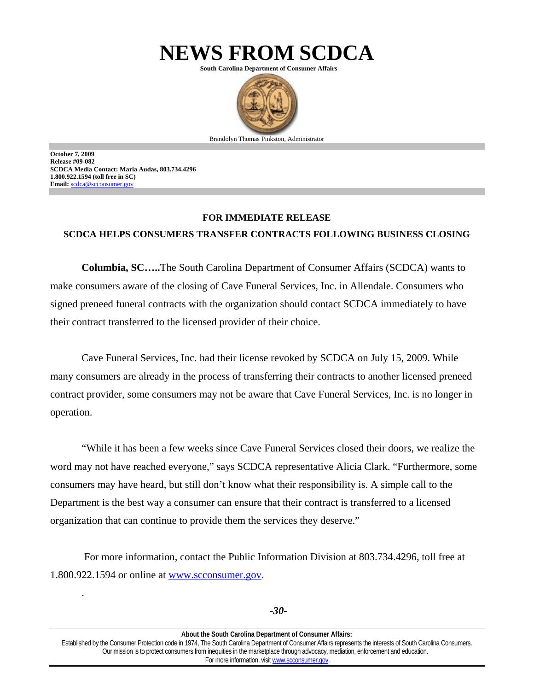

**South Carolina Department of Consumer Affairs** 



**October 7, 2009 Release #09-082 SCDCA Media Contact: Maria Audas, 803.734.4296 1.800.922.1594 (toll free in SC) Email:** scdca@scconsumer.gov

.

## **FOR IMMEDIATE RELEASE**

## **SCDCA HELPS CONSUMERS TRANSFER CONTRACTS FOLLOWING BUSINESS CLOSING**

**Columbia, SC…..**The South Carolina Department of Consumer Affairs (SCDCA) wants to make consumers aware of the closing of Cave Funeral Services, Inc. in Allendale. Consumers who signed preneed funeral contracts with the organization should contact SCDCA immediately to have their contract transferred to the licensed provider of their choice.

Cave Funeral Services, Inc. had their license revoked by SCDCA on July 15, 2009. While many consumers are already in the process of transferring their contracts to another licensed preneed contract provider, some consumers may not be aware that Cave Funeral Services, Inc. is no longer in operation.

"While it has been a few weeks since Cave Funeral Services closed their doors, we realize the word may not have reached everyone," says SCDCA representative Alicia Clark. "Furthermore, some consumers may have heard, but still don't know what their responsibility is. A simple call to the Department is the best way a consumer can ensure that their contract is transferred to a licensed organization that can continue to provide them the services they deserve."

 For more information, contact the Public Information Division at 803.734.4296, toll free at 1.800.922.1594 or online at www.scconsumer.gov.

**About the South Carolina Department of Consumer Affairs:**  Established by the Consumer Protection code in 1974, The South Carolina Department of Consumer Affairs represents the interests of South Carolina Consumers. Our mission is to protect consumers from inequities in the marketplace through advocacy, mediation, enforcement and education. For more information, visit www.scconsumer.gov.